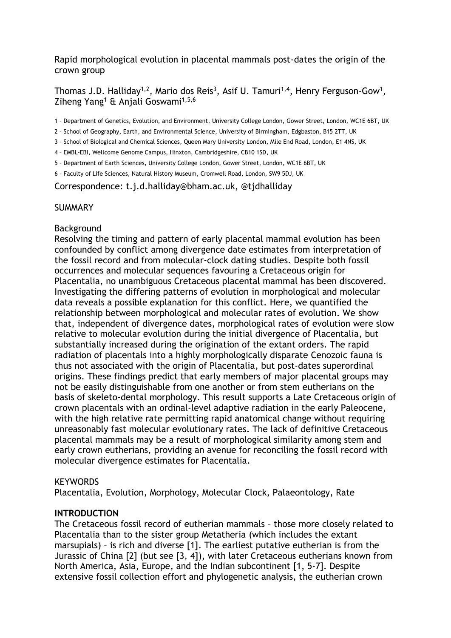Rapid morphological evolution in placental mammals post-dates the origin of the crown group

# Thomas J.D. Halliday<sup>1,2</sup>, Mario dos Reis<sup>3</sup>, Asif U. Tamuri<sup>1,4</sup>, Henry Ferguson-Gow<sup>1</sup>, Ziheng Yang<sup>1</sup> & Anjali Goswami<sup>1,5,6</sup>

1 – Department of Genetics, Evolution, and Environment, University College London, Gower Street, London, WC1E 6BT, UK

- 2 School of Geography, Earth, and Environmental Science, University of Birmingham, Edgbaston, B15 2TT, UK
- 3 School of Biological and Chemical Sciences, Queen Mary University London, Mile End Road, London, E1 4NS, UK

4 – EMBL-EBI, Wellcome Genome Campus, Hinxton, Cambridgeshire, CB10 1SD, UK

5 – Department of Earth Sciences, University College London, Gower Street, London, WC1E 6BT, UK

6 – Faculty of Life Sciences, Natural History Museum, Cromwell Road, London, SW9 5DJ, UK

Correspondence: t.j.d.halliday@bham.ac.uk, @tjdhalliday

#### **SUMMARY**

#### Background

Resolving the timing and pattern of early placental mammal evolution has been confounded by conflict among divergence date estimates from interpretation of the fossil record and from molecular-clock dating studies. Despite both fossil occurrences and molecular sequences favouring a Cretaceous origin for Placentalia, no unambiguous Cretaceous placental mammal has been discovered. Investigating the differing patterns of evolution in morphological and molecular data reveals a possible explanation for this conflict. Here, we quantified the relationship between morphological and molecular rates of evolution. We show that, independent of divergence dates, morphological rates of evolution were slow relative to molecular evolution during the initial divergence of Placentalia, but substantially increased during the origination of the extant orders. The rapid radiation of placentals into a highly morphologically disparate Cenozoic fauna is thus not associated with the origin of Placentalia, but post-dates superordinal origins. These findings predict that early members of major placental groups may not be easily distinguishable from one another or from stem eutherians on the basis of skeleto-dental morphology. This result supports a Late Cretaceous origin of crown placentals with an ordinal-level adaptive radiation in the early Paleocene, with the high relative rate permitting rapid anatomical change without requiring unreasonably fast molecular evolutionary rates. The lack of definitive Cretaceous placental mammals may be a result of morphological similarity among stem and early crown eutherians, providing an avenue for reconciling the fossil record with molecular divergence estimates for Placentalia.

#### **KEYWORDS**

Placentalia, Evolution, Morphology, Molecular Clock, Palaeontology, Rate

# **INTRODUCTION**

The Cretaceous fossil record of eutherian mammals – those more closely related to Placentalia than to the sister group Metatheria (which includes the extant marsupials) – is rich and diverse [1]. The earliest putative eutherian is from the Jurassic of China [2] (but see [3, 4]), with later Cretaceous eutherians known from North America, Asia, Europe, and the Indian subcontinent [1, 5-7]. Despite extensive fossil collection effort and phylogenetic analysis, the eutherian crown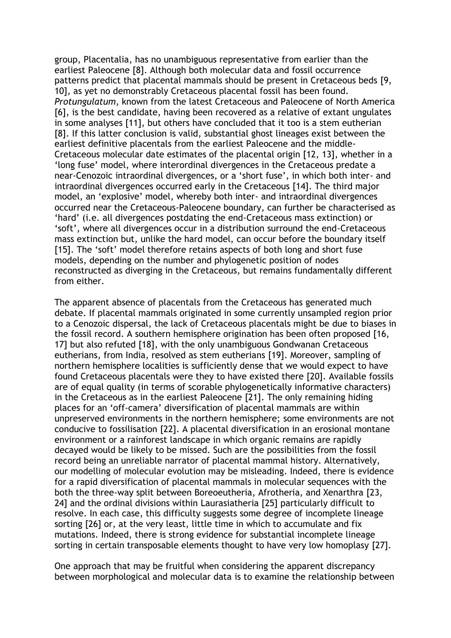group, Placentalia, has no unambiguous representative from earlier than the earliest Paleocene [8]. Although both molecular data and fossil occurrence patterns predict that placental mammals should be present in Cretaceous beds [9, 10], as yet no demonstrably Cretaceous placental fossil has been found. *Protungulatum*, known from the latest Cretaceous and Paleocene of North America [6], is the best candidate, having been recovered as a relative of extant ungulates in some analyses [11], but others have concluded that it too is a stem eutherian [8]. If this latter conclusion is valid, substantial ghost lineages exist between the earliest definitive placentals from the earliest Paleocene and the middle-Cretaceous molecular date estimates of the placental origin [12, 13], whether in a 'long fuse' model, where interordinal divergences in the Cretaceous predate a near-Cenozoic intraordinal divergences, or a 'short fuse', in which both inter- and intraordinal divergences occurred early in the Cretaceous [14]. The third major model, an 'explosive' model, whereby both inter- and intraordinal divergences occurred near the Cretaceous-Paleocene boundary, can further be characterised as 'hard' (i.e. all divergences postdating the end-Cretaceous mass extinction) or 'soft', where all divergences occur in a distribution surround the end-Cretaceous mass extinction but, unlike the hard model, can occur before the boundary itself [15]. The 'soft' model therefore retains aspects of both long and short fuse models, depending on the number and phylogenetic position of nodes reconstructed as diverging in the Cretaceous, but remains fundamentally different from either.

The apparent absence of placentals from the Cretaceous has generated much debate. If placental mammals originated in some currently unsampled region prior to a Cenozoic dispersal, the lack of Cretaceous placentals might be due to biases in the fossil record. A southern hemisphere origination has been often proposed [16, 17] but also refuted [18], with the only unambiguous Gondwanan Cretaceous eutherians, from India, resolved as stem eutherians [19]. Moreover, sampling of northern hemisphere localities is sufficiently dense that we would expect to have found Cretaceous placentals were they to have existed there [20]. Available fossils are of equal quality (in terms of scorable phylogenetically informative characters) in the Cretaceous as in the earliest Paleocene [21]. The only remaining hiding places for an 'off-camera' diversification of placental mammals are within unpreserved environments in the northern hemisphere; some environments are not conducive to fossilisation [22]. A placental diversification in an erosional montane environment or a rainforest landscape in which organic remains are rapidly decayed would be likely to be missed. Such are the possibilities from the fossil record being an unreliable narrator of placental mammal history. Alternatively, our modelling of molecular evolution may be misleading. Indeed, there is evidence for a rapid diversification of placental mammals in molecular sequences with the both the three-way split between Boreoeutheria, Afrotheria, and Xenarthra [23, 24] and the ordinal divisions within Laurasiatheria [25] particularly difficult to resolve. In each case, this difficulty suggests some degree of incomplete lineage sorting [26] or, at the very least, little time in which to accumulate and fix mutations. Indeed, there is strong evidence for substantial incomplete lineage sorting in certain transposable elements thought to have very low homoplasy [27].

One approach that may be fruitful when considering the apparent discrepancy between morphological and molecular data is to examine the relationship between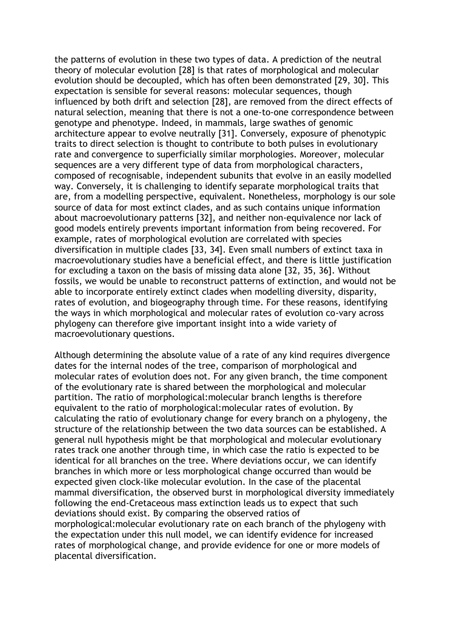the patterns of evolution in these two types of data. A prediction of the neutral theory of molecular evolution [28] is that rates of morphological and molecular evolution should be decoupled, which has often been demonstrated [29, 30]. This expectation is sensible for several reasons: molecular sequences, though influenced by both drift and selection [28], are removed from the direct effects of natural selection, meaning that there is not a one-to-one correspondence between genotype and phenotype. Indeed, in mammals, large swathes of genomic architecture appear to evolve neutrally [31]. Conversely, exposure of phenotypic traits to direct selection is thought to contribute to both pulses in evolutionary rate and convergence to superficially similar morphologies. Moreover, molecular sequences are a very different type of data from morphological characters, composed of recognisable, independent subunits that evolve in an easily modelled way. Conversely, it is challenging to identify separate morphological traits that are, from a modelling perspective, equivalent. Nonetheless, morphology is our sole source of data for most extinct clades, and as such contains unique information about macroevolutionary patterns [32], and neither non-equivalence nor lack of good models entirely prevents important information from being recovered. For example, rates of morphological evolution are correlated with species diversification in multiple clades [33, 34]. Even small numbers of extinct taxa in macroevolutionary studies have a beneficial effect, and there is little justification for excluding a taxon on the basis of missing data alone [32, 35, 36]. Without fossils, we would be unable to reconstruct patterns of extinction, and would not be able to incorporate entirely extinct clades when modelling diversity, disparity, rates of evolution, and biogeography through time. For these reasons, identifying the ways in which morphological and molecular rates of evolution co-vary across phylogeny can therefore give important insight into a wide variety of macroevolutionary questions.

Although determining the absolute value of a rate of any kind requires divergence dates for the internal nodes of the tree, comparison of morphological and molecular rates of evolution does not. For any given branch, the time component of the evolutionary rate is shared between the morphological and molecular partition. The ratio of morphological:molecular branch lengths is therefore equivalent to the ratio of morphological:molecular rates of evolution. By calculating the ratio of evolutionary change for every branch on a phylogeny, the structure of the relationship between the two data sources can be established. A general null hypothesis might be that morphological and molecular evolutionary rates track one another through time, in which case the ratio is expected to be identical for all branches on the tree. Where deviations occur, we can identify branches in which more or less morphological change occurred than would be expected given clock-like molecular evolution. In the case of the placental mammal diversification, the observed burst in morphological diversity immediately following the end-Cretaceous mass extinction leads us to expect that such deviations should exist. By comparing the observed ratios of morphological:molecular evolutionary rate on each branch of the phylogeny with the expectation under this null model, we can identify evidence for increased rates of morphological change, and provide evidence for one or more models of placental diversification.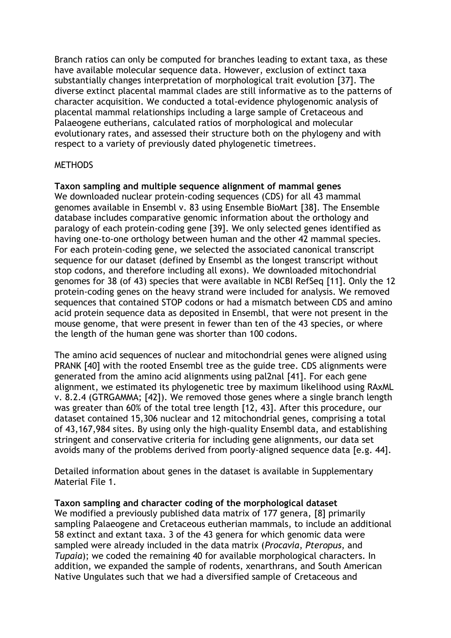Branch ratios can only be computed for branches leading to extant taxa, as these have available molecular sequence data. However, exclusion of extinct taxa substantially changes interpretation of morphological trait evolution [37]. The diverse extinct placental mammal clades are still informative as to the patterns of character acquisition. We conducted a total-evidence phylogenomic analysis of placental mammal relationships including a large sample of Cretaceous and Palaeogene eutherians, calculated ratios of morphological and molecular evolutionary rates, and assessed their structure both on the phylogeny and with respect to a variety of previously dated phylogenetic timetrees.

#### **METHODS**

### **Taxon sampling and multiple sequence alignment of mammal genes**

We downloaded nuclear protein-coding sequences (CDS) for all 43 mammal genomes available in Ensembl v. 83 using Ensemble BioMart [38]. The Ensemble database includes comparative genomic information about the orthology and paralogy of each protein-coding gene [39]. We only selected genes identified as having one-to-one orthology between human and the other 42 mammal species. For each protein-coding gene, we selected the associated canonical transcript sequence for our dataset (defined by Ensembl as the longest transcript without stop codons, and therefore including all exons). We downloaded mitochondrial genomes for 38 (of 43) species that were available in NCBI RefSeq [11]. Only the 12 protein-coding genes on the heavy strand were included for analysis. We removed sequences that contained STOP codons or had a mismatch between CDS and amino acid protein sequence data as deposited in Ensembl, that were not present in the mouse genome, that were present in fewer than ten of the 43 species, or where the length of the human gene was shorter than 100 codons.

The amino acid sequences of nuclear and mitochondrial genes were aligned using PRANK [40] with the rooted Ensembl tree as the guide tree. CDS alignments were generated from the amino acid alignments using pal2nal [41]. For each gene alignment, we estimated its phylogenetic tree by maximum likelihood using RAxML v. 8.2.4 (GTRGAMMA; [42]). We removed those genes where a single branch length was greater than 60% of the total tree length [12, 43]. After this procedure, our dataset contained 15,306 nuclear and 12 mitochondrial genes, comprising a total of 43,167,984 sites. By using only the high-quality Ensembl data, and establishing stringent and conservative criteria for including gene alignments, our data set avoids many of the problems derived from poorly-aligned sequence data [e.g. 44].

Detailed information about genes in the dataset is available in Supplementary Material File 1.

**Taxon sampling and character coding of the morphological dataset** We modified a previously published data matrix of 177 genera, [8] primarily sampling Palaeogene and Cretaceous eutherian mammals, to include an additional 58 extinct and extant taxa. 3 of the 43 genera for which genomic data were sampled were already included in the data matrix (*Procavia*, *Pteropus*, and *Tupaia*); we coded the remaining 40 for available morphological characters. In addition, we expanded the sample of rodents, xenarthrans, and South American Native Ungulates such that we had a diversified sample of Cretaceous and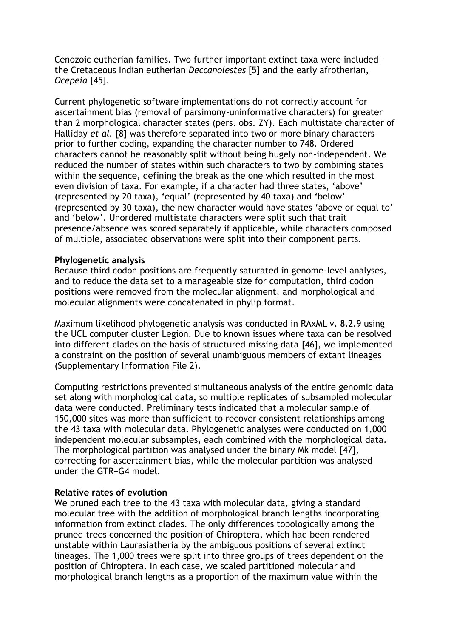Cenozoic eutherian families. Two further important extinct taxa were included – the Cretaceous Indian eutherian *Deccanolestes* [5] and the early afrotherian, *Ocepeia* [45].

Current phylogenetic software implementations do not correctly account for ascertainment bias (removal of parsimony-uninformative characters) for greater than 2 morphological character states (pers. obs. ZY). Each multistate character of Halliday *et al.* [8] was therefore separated into two or more binary characters prior to further coding, expanding the character number to 748. Ordered characters cannot be reasonably split without being hugely non-independent. We reduced the number of states within such characters to two by combining states within the sequence, defining the break as the one which resulted in the most even division of taxa. For example, if a character had three states, 'above' (represented by 20 taxa), 'equal' (represented by 40 taxa) and 'below' (represented by 30 taxa), the new character would have states 'above or equal to' and 'below'. Unordered multistate characters were split such that trait presence/absence was scored separately if applicable, while characters composed of multiple, associated observations were split into their component parts.

#### **Phylogenetic analysis**

Because third codon positions are frequently saturated in genome-level analyses, and to reduce the data set to a manageable size for computation, third codon positions were removed from the molecular alignment, and morphological and molecular alignments were concatenated in phylip format.

Maximum likelihood phylogenetic analysis was conducted in RAxML v. 8.2.9 using the UCL computer cluster Legion. Due to known issues where taxa can be resolved into different clades on the basis of structured missing data [46], we implemented a constraint on the position of several unambiguous members of extant lineages (Supplementary Information File 2).

Computing restrictions prevented simultaneous analysis of the entire genomic data set along with morphological data, so multiple replicates of subsampled molecular data were conducted. Preliminary tests indicated that a molecular sample of 150,000 sites was more than sufficient to recover consistent relationships among the 43 taxa with molecular data. Phylogenetic analyses were conducted on 1,000 independent molecular subsamples, each combined with the morphological data. The morphological partition was analysed under the binary Mk model [47], correcting for ascertainment bias, while the molecular partition was analysed under the GTR+G4 model.

#### **Relative rates of evolution**

We pruned each tree to the 43 taxa with molecular data, giving a standard molecular tree with the addition of morphological branch lengths incorporating information from extinct clades. The only differences topologically among the pruned trees concerned the position of Chiroptera, which had been rendered unstable within Laurasiatheria by the ambiguous positions of several extinct lineages. The 1,000 trees were split into three groups of trees dependent on the position of Chiroptera. In each case, we scaled partitioned molecular and morphological branch lengths as a proportion of the maximum value within the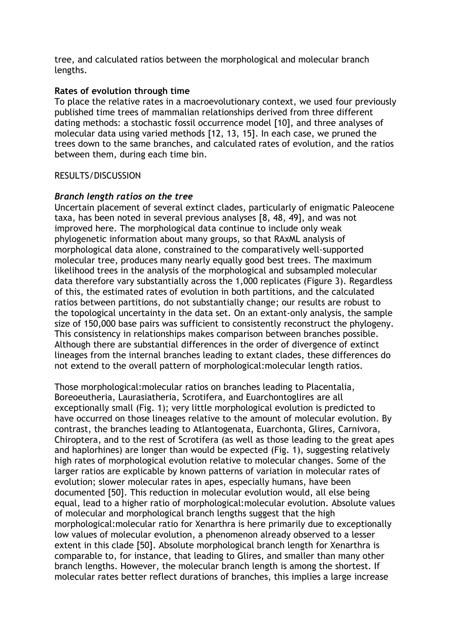tree, and calculated ratios between the morphological and molecular branch lengths.

## **Rates of evolution through time**

To place the relative rates in a macroevolutionary context, we used four previously published time trees of mammalian relationships derived from three different dating methods: a stochastic fossil occurrence model [10], and three analyses of molecular data using varied methods [12, 13, 15]. In each case, we pruned the trees down to the same branches, and calculated rates of evolution, and the ratios between them, during each time bin.

# RESULTS/DISCUSSION

# *Branch length ratios on the tree*

Uncertain placement of several extinct clades, particularly of enigmatic Paleocene taxa, has been noted in several previous analyses [8, 48, 49], and was not improved here. The morphological data continue to include only weak phylogenetic information about many groups, so that RAxML analysis of morphological data alone, constrained to the comparatively well-supported molecular tree, produces many nearly equally good best trees. The maximum likelihood trees in the analysis of the morphological and subsampled molecular data therefore vary substantially across the 1,000 replicates (Figure 3). Regardless of this, the estimated rates of evolution in both partitions, and the calculated ratios between partitions, do not substantially change; our results are robust to the topological uncertainty in the data set. On an extant-only analysis, the sample size of 150,000 base pairs was sufficient to consistently reconstruct the phylogeny. This consistency in relationships makes comparison between branches possible. Although there are substantial differences in the order of divergence of extinct lineages from the internal branches leading to extant clades, these differences do not extend to the overall pattern of morphological:molecular length ratios.

Those morphological:molecular ratios on branches leading to Placentalia, Boreoeutheria, Laurasiatheria, Scrotifera, and Euarchontoglires are all exceptionally small (Fig. 1); very little morphological evolution is predicted to have occurred on those lineages relative to the amount of molecular evolution. By contrast, the branches leading to Atlantogenata, Euarchonta, Glires, Carnivora, Chiroptera, and to the rest of Scrotifera (as well as those leading to the great apes and haplorhines) are longer than would be expected (Fig. 1), suggesting relatively high rates of morphological evolution relative to molecular changes. Some of the larger ratios are explicable by known patterns of variation in molecular rates of evolution; slower molecular rates in apes, especially humans, have been documented [50]. This reduction in molecular evolution would, all else being equal, lead to a higher ratio of morphological:molecular evolution. Absolute values of molecular and morphological branch lengths suggest that the high morphological:molecular ratio for Xenarthra is here primarily due to exceptionally low values of molecular evolution, a phenomenon already observed to a lesser extent in this clade [50]. Absolute morphological branch length for Xenarthra is comparable to, for instance, that leading to Glires, and smaller than many other branch lengths. However, the molecular branch length is among the shortest. If molecular rates better reflect durations of branches, this implies a large increase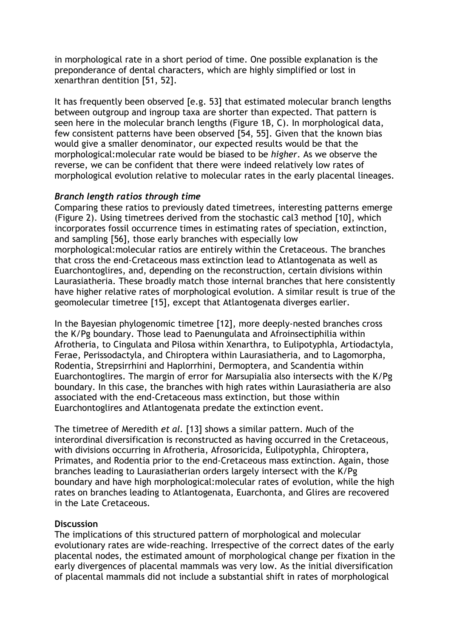in morphological rate in a short period of time. One possible explanation is the preponderance of dental characters, which are highly simplified or lost in xenarthran dentition [51, 52].

It has frequently been observed [e.g. 53] that estimated molecular branch lengths between outgroup and ingroup taxa are shorter than expected. That pattern is seen here in the molecular branch lengths (Figure 1B, C). In morphological data, few consistent patterns have been observed [54, 55]. Given that the known bias would give a smaller denominator, our expected results would be that the morphological:molecular rate would be biased to be *higher*. As we observe the reverse, we can be confident that there were indeed relatively low rates of morphological evolution relative to molecular rates in the early placental lineages.

# *Branch length ratios through time*

Comparing these ratios to previously dated timetrees, interesting patterns emerge (Figure 2). Using timetrees derived from the stochastic cal3 method [10], which incorporates fossil occurrence times in estimating rates of speciation, extinction, and sampling [56], those early branches with especially low morphological:molecular ratios are entirely within the Cretaceous. The branches that cross the end-Cretaceous mass extinction lead to Atlantogenata as well as Euarchontoglires, and, depending on the reconstruction, certain divisions within Laurasiatheria. These broadly match those internal branches that here consistently have higher relative rates of morphological evolution. A similar result is true of the geomolecular timetree [15], except that Atlantogenata diverges earlier.

In the Bayesian phylogenomic timetree [12], more deeply-nested branches cross the K/Pg boundary. Those lead to Paenungulata and Afroinsectiphilia within Afrotheria, to Cingulata and Pilosa within Xenarthra, to Eulipotyphla, Artiodactyla, Ferae, Perissodactyla, and Chiroptera within Laurasiatheria, and to Lagomorpha, Rodentia, Strepsirrhini and Haplorrhini, Dermoptera, and Scandentia within Euarchontoglires. The margin of error for Marsupialia also intersects with the K/Pg boundary. In this case, the branches with high rates within Laurasiatheria are also associated with the end-Cretaceous mass extinction, but those within Euarchontoglires and Atlantogenata predate the extinction event.

The timetree of Meredith *et al.* [13] shows a similar pattern. Much of the interordinal diversification is reconstructed as having occurred in the Cretaceous, with divisions occurring in Afrotheria, Afrosoricida, Eulipotyphla, Chiroptera, Primates, and Rodentia prior to the end-Cretaceous mass extinction. Again, those branches leading to Laurasiatherian orders largely intersect with the K/Pg boundary and have high morphological:molecular rates of evolution, while the high rates on branches leading to Atlantogenata, Euarchonta, and Glires are recovered in the Late Cretaceous.

#### **Discussion**

The implications of this structured pattern of morphological and molecular evolutionary rates are wide-reaching. Irrespective of the correct dates of the early placental nodes, the estimated amount of morphological change per fixation in the early divergences of placental mammals was very low. As the initial diversification of placental mammals did not include a substantial shift in rates of morphological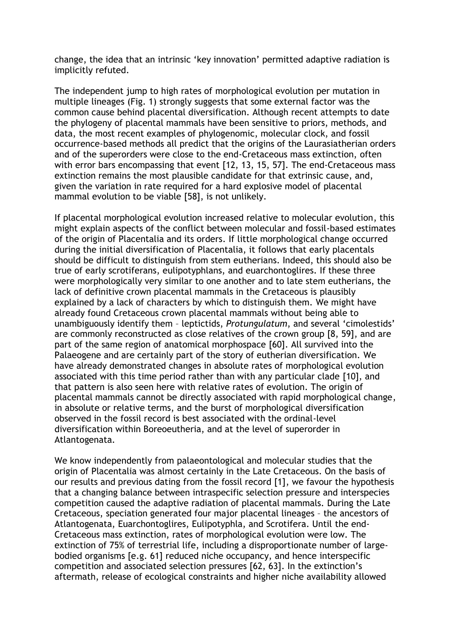change, the idea that an intrinsic 'key innovation' permitted adaptive radiation is implicitly refuted.

The independent jump to high rates of morphological evolution per mutation in multiple lineages (Fig. 1) strongly suggests that some external factor was the common cause behind placental diversification. Although recent attempts to date the phylogeny of placental mammals have been sensitive to priors, methods, and data, the most recent examples of phylogenomic, molecular clock, and fossil occurrence-based methods all predict that the origins of the Laurasiatherian orders and of the superorders were close to the end-Cretaceous mass extinction, often with error bars encompassing that event [12, 13, 15, 57]. The end-Cretaceous mass extinction remains the most plausible candidate for that extrinsic cause, and, given the variation in rate required for a hard explosive model of placental mammal evolution to be viable [58], is not unlikely.

If placental morphological evolution increased relative to molecular evolution, this might explain aspects of the conflict between molecular and fossil-based estimates of the origin of Placentalia and its orders. If little morphological change occurred during the initial diversification of Placentalia, it follows that early placentals should be difficult to distinguish from stem eutherians. Indeed, this should also be true of early scrotiferans, eulipotyphlans, and euarchontoglires. If these three were morphologically very similar to one another and to late stem eutherians, the lack of definitive crown placental mammals in the Cretaceous is plausibly explained by a lack of characters by which to distinguish them. We might have already found Cretaceous crown placental mammals without being able to unambiguously identify them – leptictids, *Protungulatum*, and several 'cimolestids' are commonly reconstructed as close relatives of the crown group [8, 59], and are part of the same region of anatomical morphospace [60]. All survived into the Palaeogene and are certainly part of the story of eutherian diversification. We have already demonstrated changes in absolute rates of morphological evolution associated with this time period rather than with any particular clade [10], and that pattern is also seen here with relative rates of evolution. The origin of placental mammals cannot be directly associated with rapid morphological change, in absolute or relative terms, and the burst of morphological diversification observed in the fossil record is best associated with the ordinal-level diversification within Boreoeutheria, and at the level of superorder in Atlantogenata.

We know independently from palaeontological and molecular studies that the origin of Placentalia was almost certainly in the Late Cretaceous. On the basis of our results and previous dating from the fossil record [1], we favour the hypothesis that a changing balance between intraspecific selection pressure and interspecies competition caused the adaptive radiation of placental mammals. During the Late Cretaceous, speciation generated four major placental lineages – the ancestors of Atlantogenata, Euarchontoglires, Eulipotyphla, and Scrotifera. Until the end-Cretaceous mass extinction, rates of morphological evolution were low. The extinction of 75% of terrestrial life, including a disproportionate number of largebodied organisms [e.g. 61] reduced niche occupancy, and hence interspecific competition and associated selection pressures [62, 63]. In the extinction's aftermath, release of ecological constraints and higher niche availability allowed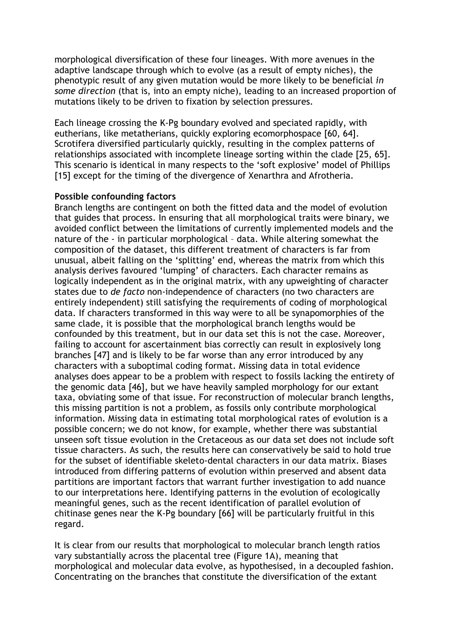morphological diversification of these four lineages. With more avenues in the adaptive landscape through which to evolve (as a result of empty niches), the phenotypic result of any given mutation would be more likely to be beneficial *in some direction* (that is, into an empty niche), leading to an increased proportion of mutations likely to be driven to fixation by selection pressures.

Each lineage crossing the K-Pg boundary evolved and speciated rapidly, with eutherians, like metatherians, quickly exploring ecomorphospace [60, 64]. Scrotifera diversified particularly quickly, resulting in the complex patterns of relationships associated with incomplete lineage sorting within the clade [25, 65]. This scenario is identical in many respects to the 'soft explosive' model of Phillips [15] except for the timing of the divergence of Xenarthra and Afrotheria.

# **Possible confounding factors**

Branch lengths are contingent on both the fitted data and the model of evolution that guides that process. In ensuring that all morphological traits were binary, we avoided conflict between the limitations of currently implemented models and the nature of the - in particular morphological – data. While altering somewhat the composition of the dataset, this different treatment of characters is far from unusual, albeit falling on the 'splitting' end, whereas the matrix from which this analysis derives favoured 'lumping' of characters. Each character remains as logically independent as in the original matrix, with any upweighting of character states due to *de facto* non-independence of characters (no two characters are entirely independent) still satisfying the requirements of coding of morphological data. If characters transformed in this way were to all be synapomorphies of the same clade, it is possible that the morphological branch lengths would be confounded by this treatment, but in our data set this is not the case. Moreover, failing to account for ascertainment bias correctly can result in explosively long branches [47] and is likely to be far worse than any error introduced by any characters with a suboptimal coding format. Missing data in total evidence analyses does appear to be a problem with respect to fossils lacking the entirety of the genomic data [46], but we have heavily sampled morphology for our extant taxa, obviating some of that issue. For reconstruction of molecular branch lengths, this missing partition is not a problem, as fossils only contribute morphological information. Missing data in estimating total morphological rates of evolution is a possible concern; we do not know, for example, whether there was substantial unseen soft tissue evolution in the Cretaceous as our data set does not include soft tissue characters. As such, the results here can conservatively be said to hold true for the subset of identifiable skeleto-dental characters in our data matrix. Biases introduced from differing patterns of evolution within preserved and absent data partitions are important factors that warrant further investigation to add nuance to our interpretations here. Identifying patterns in the evolution of ecologically meaningful genes, such as the recent identification of parallel evolution of chitinase genes near the K-Pg boundary [66] will be particularly fruitful in this regard.

It is clear from our results that morphological to molecular branch length ratios vary substantially across the placental tree (Figure 1A), meaning that morphological and molecular data evolve, as hypothesised, in a decoupled fashion. Concentrating on the branches that constitute the diversification of the extant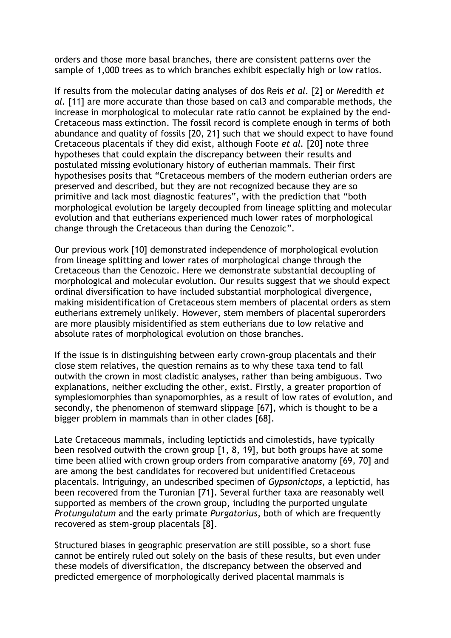orders and those more basal branches, there are consistent patterns over the sample of 1,000 trees as to which branches exhibit especially high or low ratios.

If results from the molecular dating analyses of dos Reis *et al.* [2] or Meredith *et al.* [11] are more accurate than those based on cal3 and comparable methods, the increase in morphological to molecular rate ratio cannot be explained by the end-Cretaceous mass extinction. The fossil record is complete enough in terms of both abundance and quality of fossils [20, 21] such that we should expect to have found Cretaceous placentals if they did exist, although Foote *et al.* [20] note three hypotheses that could explain the discrepancy between their results and postulated missing evolutionary history of eutherian mammals. Their first hypothesises posits that "Cretaceous members of the modern eutherian orders are preserved and described, but they are not recognized because they are so primitive and lack most diagnostic features", with the prediction that "both morphological evolution be largely decoupled from lineage splitting and molecular evolution and that eutherians experienced much lower rates of morphological change through the Cretaceous than during the Cenozoic".

Our previous work [10] demonstrated independence of morphological evolution from lineage splitting and lower rates of morphological change through the Cretaceous than the Cenozoic. Here we demonstrate substantial decoupling of morphological and molecular evolution. Our results suggest that we should expect ordinal diversification to have included substantial morphological divergence, making misidentification of Cretaceous stem members of placental orders as stem eutherians extremely unlikely. However, stem members of placental superorders are more plausibly misidentified as stem eutherians due to low relative and absolute rates of morphological evolution on those branches.

If the issue is in distinguishing between early crown-group placentals and their close stem relatives, the question remains as to why these taxa tend to fall outwith the crown in most cladistic analyses, rather than being ambiguous. Two explanations, neither excluding the other, exist. Firstly, a greater proportion of symplesiomorphies than synapomorphies, as a result of low rates of evolution, and secondly, the phenomenon of stemward slippage [67], which is thought to be a bigger problem in mammals than in other clades [68].

Late Cretaceous mammals, including leptictids and cimolestids, have typically been resolved outwith the crown group [1, 8, 19], but both groups have at some time been allied with crown group orders from comparative anatomy [69, 70] and are among the best candidates for recovered but unidentified Cretaceous placentals. Intriguingy, an undescribed specimen of *Gypsonictops*, a leptictid, has been recovered from the Turonian [71]. Several further taxa are reasonably well supported as members of the crown group, including the purported ungulate *Protungulatum* and the early primate *Purgatorius*, both of which are frequently recovered as stem-group placentals [8].

Structured biases in geographic preservation are still possible, so a short fuse cannot be entirely ruled out solely on the basis of these results, but even under these models of diversification, the discrepancy between the observed and predicted emergence of morphologically derived placental mammals is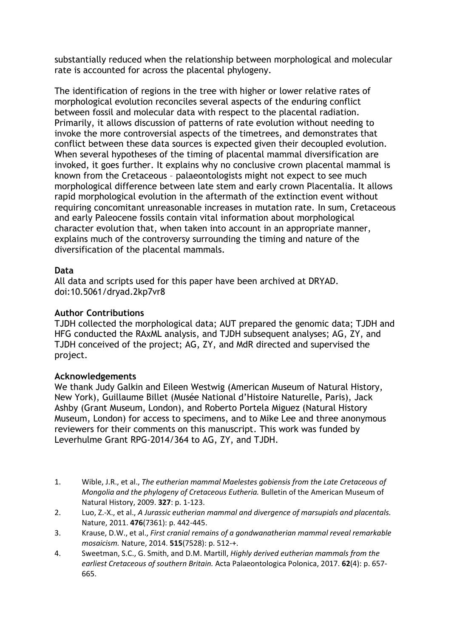substantially reduced when the relationship between morphological and molecular rate is accounted for across the placental phylogeny.

The identification of regions in the tree with higher or lower relative rates of morphological evolution reconciles several aspects of the enduring conflict between fossil and molecular data with respect to the placental radiation. Primarily, it allows discussion of patterns of rate evolution without needing to invoke the more controversial aspects of the timetrees, and demonstrates that conflict between these data sources is expected given their decoupled evolution. When several hypotheses of the timing of placental mammal diversification are invoked, it goes further. It explains why no conclusive crown placental mammal is known from the Cretaceous – palaeontologists might not expect to see much morphological difference between late stem and early crown Placentalia. It allows rapid morphological evolution in the aftermath of the extinction event without requiring concomitant unreasonable increases in mutation rate. In sum, Cretaceous and early Paleocene fossils contain vital information about morphological character evolution that, when taken into account in an appropriate manner, explains much of the controversy surrounding the timing and nature of the diversification of the placental mammals.

# **Data**

All data and scripts used for this paper have been archived at DRYAD. doi:10.5061/dryad.2kp7vr8

# **Author Contributions**

TJDH collected the morphological data; AUT prepared the genomic data; TJDH and HFG conducted the RAxML analysis, and TJDH subsequent analyses; AG, ZY, and TJDH conceived of the project; AG, ZY, and MdR directed and supervised the project.

#### **Acknowledgements**

We thank Judy Galkin and Eileen Westwig (American Museum of Natural History, New York), Guillaume Billet (Musée National d'Histoire Naturelle, Paris), Jack Ashby (Grant Museum, London), and Roberto Portela Miguez (Natural History Museum, London) for access to specimens, and to Mike Lee and three anonymous reviewers for their comments on this manuscript. This work was funded by Leverhulme Grant RPG-2014/364 to AG, ZY, and TJDH.

- 1. Wible, J.R., et al., *The eutherian mammal Maelestes gobiensis from the Late Cretaceous of Mongolia and the phylogeny of Cretaceous Eutheria.* Bulletin of the American Museum of Natural History, 2009. **327**: p. 1-123.
- 2. Luo, Z.-X., et al., *A Jurassic eutherian mammal and divergence of marsupials and placentals.* Nature, 2011. **476**(7361): p. 442-445.
- 3. Krause, D.W., et al., *First cranial remains of a gondwanatherian mammal reveal remarkable mosaicism.* Nature, 2014. **515**(7528): p. 512-+.
- 4. Sweetman, S.C., G. Smith, and D.M. Martill, *Highly derived eutherian mammals from the earliest Cretaceous of southern Britain.* Acta Palaeontologica Polonica, 2017. **62**(4): p. 657- 665.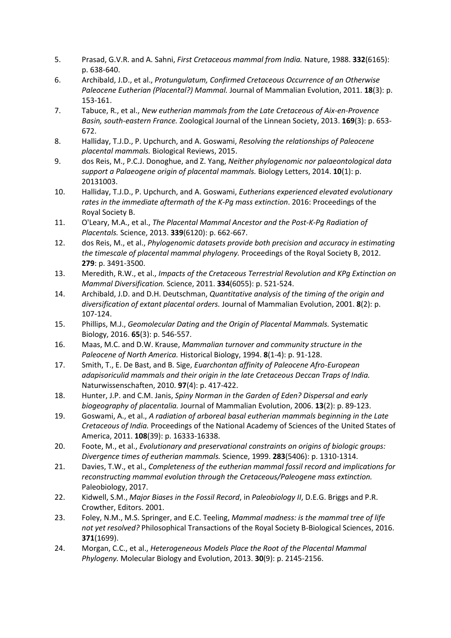- 5. Prasad, G.V.R. and A. Sahni, *First Cretaceous mammal from India.* Nature, 1988. **332**(6165): p. 638-640.
- 6. Archibald, J.D., et al., *Protungulatum, Confirmed Cretaceous Occurrence of an Otherwise Paleocene Eutherian (Placental?) Mammal.* Journal of Mammalian Evolution, 2011. **18**(3): p. 153-161.
- 7. Tabuce, R., et al., *New eutherian mammals from the Late Cretaceous of Aix-en-Provence Basin, south-eastern France.* Zoological Journal of the Linnean Society, 2013. **169**(3): p. 653- 672.
- 8. Halliday, T.J.D., P. Upchurch, and A. Goswami, *Resolving the relationships of Paleocene placental mammals.* Biological Reviews, 2015.
- 9. dos Reis, M., P.C.J. Donoghue, and Z. Yang, *Neither phylogenomic nor palaeontological data support a Palaeogene origin of placental mammals.* Biology Letters, 2014. **10**(1): p. 20131003.
- 10. Halliday, T.J.D., P. Upchurch, and A. Goswami, *Eutherians experienced elevated evolutionary rates in the immediate aftermath of the K-Pg mass extinction*. 2016: Proceedings of the Royal Society B.
- 11. O'Leary, M.A., et al., *The Placental Mammal Ancestor and the Post-K-Pg Radiation of Placentals.* Science, 2013. **339**(6120): p. 662-667.
- 12. dos Reis, M., et al., *Phylogenomic datasets provide both precision and accuracy in estimating the timescale of placental mammal phylogeny.* Proceedings of the Royal Society B, 2012. **279**: p. 3491-3500.
- 13. Meredith, R.W., et al., *Impacts of the Cretaceous Terrestrial Revolution and KPg Extinction on Mammal Diversification.* Science, 2011. **334**(6055): p. 521-524.
- 14. Archibald, J.D. and D.H. Deutschman, *Quantitative analysis of the timing of the origin and diversification of extant placental orders.* Journal of Mammalian Evolution, 2001. **8**(2): p. 107-124.
- 15. Phillips, M.J., *Geomolecular Dating and the Origin of Placental Mammals.* Systematic Biology, 2016. **65**(3): p. 546-557.
- 16. Maas, M.C. and D.W. Krause, *Mammalian turnover and community structure in the Paleocene of North America.* Historical Biology, 1994. **8**(1-4): p. 91-128.
- 17. Smith, T., E. De Bast, and B. Sige, *Euarchontan affinity of Paleocene Afro-European adapisoriculid mammals and their origin in the late Cretaceous Deccan Traps of India.* Naturwissenschaften, 2010. **97**(4): p. 417-422.
- 18. Hunter, J.P. and C.M. Janis, *Spiny Norman in the Garden of Eden? Dispersal and early biogeography of placentalia.* Journal of Mammalian Evolution, 2006. **13**(2): p. 89-123.
- 19. Goswami, A., et al., *A radiation of arboreal basal eutherian mammals beginning in the Late Cretaceous of India.* Proceedings of the National Academy of Sciences of the United States of America, 2011. **108**(39): p. 16333-16338.
- 20. Foote, M., et al., *Evolutionary and preservational constraints on origins of biologic groups: Divergence times of eutherian mammals.* Science, 1999. **283**(5406): p. 1310-1314.
- 21. Davies, T.W., et al., *Completeness of the eutherian mammal fossil record and implications for reconstructing mammal evolution through the Cretaceous/Paleogene mass extinction.* Paleobiology, 2017.
- 22. Kidwell, S.M., *Major Biases in the Fossil Record*, in *Paleobiology II*, D.E.G. Briggs and P.R. Crowther, Editors. 2001.
- 23. Foley, N.M., M.S. Springer, and E.C. Teeling, *Mammal madness: is the mammal tree of life not yet resolved?* Philosophical Transactions of the Royal Society B-Biological Sciences, 2016. **371**(1699).
- 24. Morgan, C.C., et al., *Heterogeneous Models Place the Root of the Placental Mammal Phylogeny.* Molecular Biology and Evolution, 2013. **30**(9): p. 2145-2156.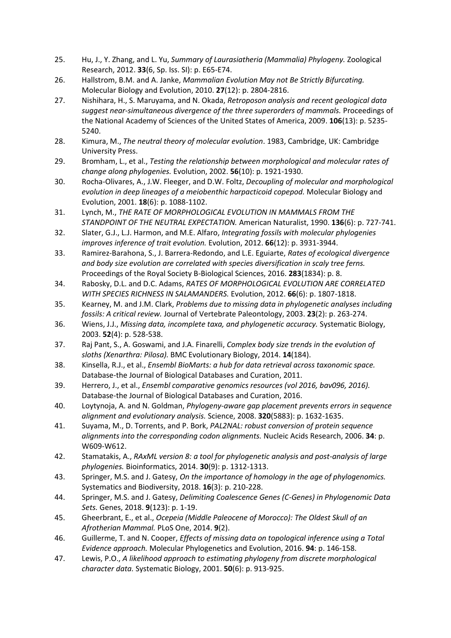- 25. Hu, J., Y. Zhang, and L. Yu, *Summary of Laurasiatheria (Mammalia) Phylogeny.* Zoological Research, 2012. **33**(6, Sp. Iss. SI): p. E65-E74.
- 26. Hallstrom, B.M. and A. Janke, *Mammalian Evolution May not Be Strictly Bifurcating.* Molecular Biology and Evolution, 2010. **27**(12): p. 2804-2816.
- 27. Nishihara, H., S. Maruyama, and N. Okada, *Retroposon analysis and recent geological data suggest near-simultaneous divergence of the three superorders of mammals.* Proceedings of the National Academy of Sciences of the United States of America, 2009. **106**(13): p. 5235- 5240.
- 28. Kimura, M., *The neutral theory of molecular evolution*. 1983, Cambridge, UK: Cambridge University Press.
- 29. Bromham, L., et al., *Testing the relationship between morphological and molecular rates of change along phylogenies.* Evolution, 2002. **56**(10): p. 1921-1930.
- 30. Rocha-Olivares, A., J.W. Fleeger, and D.W. Foltz, *Decoupling of molecular and morphological evolution in deep lineages of a meiobenthic harpacticoid copepod.* Molecular Biology and Evolution, 2001. **18**(6): p. 1088-1102.
- 31. Lynch, M., *THE RATE OF MORPHOLOGICAL EVOLUTION IN MAMMALS FROM THE STANDPOINT OF THE NEUTRAL EXPECTATION.* American Naturalist, 1990. **136**(6): p. 727-741.
- 32. Slater, G.J., L.J. Harmon, and M.E. Alfaro, *Integrating fossils with molecular phylogenies improves inference of trait evolution.* Evolution, 2012. **66**(12): p. 3931-3944.
- 33. Ramirez-Barahona, S., J. Barrera-Redondo, and L.E. Eguiarte, *Rates of ecological divergence and body size evolution are correlated with species diversification in scaly tree ferns.* Proceedings of the Royal Society B-Biological Sciences, 2016. **283**(1834): p. 8.
- 34. Rabosky, D.L. and D.C. Adams, *RATES OF MORPHOLOGICAL EVOLUTION ARE CORRELATED WITH SPECIES RICHNESS IN SALAMANDERS.* Evolution, 2012. **66**(6): p. 1807-1818.
- 35. Kearney, M. and J.M. Clark, *Problems due to missing data in phylogenetic analyses including fossils: A critical review.* Journal of Vertebrate Paleontology, 2003. **23**(2): p. 263-274.
- 36. Wiens, J.J., *Missing data, incomplete taxa, and phylogenetic accuracy.* Systematic Biology, 2003. **52**(4): p. 528-538.
- 37. Raj Pant, S., A. Goswami, and J.A. Finarelli, *Complex body size trends in the evolution of sloths (Xenarthra: Pilosa).* BMC Evolutionary Biology, 2014. **14**(184).
- 38. Kinsella, R.J., et al., *Ensembl BioMarts: a hub for data retrieval across taxonomic space.* Database-the Journal of Biological Databases and Curation, 2011.
- 39. Herrero, J., et al., *Ensembl comparative genomics resources (vol 2016, bav096, 2016).* Database-the Journal of Biological Databases and Curation, 2016.
- 40. Loytynoja, A. and N. Goldman, *Phylogeny-aware gap placement prevents errors in sequence alignment and evolutionary analysis.* Science, 2008. **320**(5883): p. 1632-1635.
- 41. Suyama, M., D. Torrents, and P. Bork, *PAL2NAL: robust conversion of protein sequence alignments into the corresponding codon alignments.* Nucleic Acids Research, 2006. **34**: p. W609-W612.
- 42. Stamatakis, A., *RAxML version 8: a tool for phylogenetic analysis and post-analysis of large phylogenies.* Bioinformatics, 2014. **30**(9): p. 1312-1313.
- 43. Springer, M.S. and J. Gatesy, *On the importance of homology in the age of phylogenomics.* Systematics and Biodiversity, 2018. **16**(3): p. 210-228.
- 44. Springer, M.S. and J. Gatesy, *Delimiting Coalescence Genes (C-Genes) in Phylogenomic Data Sets.* Genes, 2018. **9**(123): p. 1-19.
- 45. Gheerbrant, E., et al., *Ocepeia (Middle Paleocene of Morocco): The Oldest Skull of an Afrotherian Mammal.* PLoS One, 2014. **9**(2).
- 46. Guillerme, T. and N. Cooper, *Effects of missing data on topological inference using a Total Evidence approach.* Molecular Phylogenetics and Evolution, 2016. **94**: p. 146-158.
- 47. Lewis, P.O., *A likelihood approach to estimating phylogeny from discrete morphological character data.* Systematic Biology, 2001. **50**(6): p. 913-925.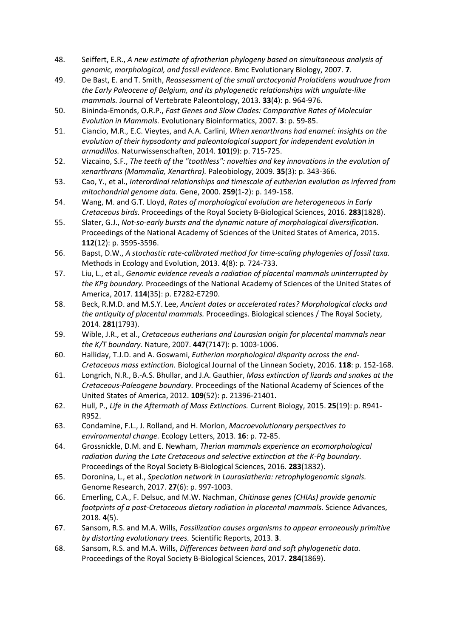- 48. Seiffert, E.R., *A new estimate of afrotherian phylogeny based on simultaneous analysis of genomic, morphological, and fossil evidence.* Bmc Evolutionary Biology, 2007. **7**.
- 49. De Bast, E. and T. Smith, *Reassessment of the small arctocyonid Prolatidens waudruae from the Early Paleocene of Belgium, and its phylogenetic relationships with ungulate-like mammals.* Journal of Vertebrate Paleontology, 2013. **33**(4): p. 964-976.
- 50. Bininda-Emonds, O.R.P., *Fast Genes and Slow Clades: Comparative Rates of Molecular Evolution in Mammals.* Evolutionary Bioinformatics, 2007. **3**: p. 59-85.
- 51. Ciancio, M.R., E.C. Vieytes, and A.A. Carlini, *When xenarthrans had enamel: insights on the evolution of their hypsodonty and paleontological support for independent evolution in armadillos.* Naturwissenschaften, 2014. **101**(9): p. 715-725.
- 52. Vizcaino, S.F., *The teeth of the "toothless": novelties and key innovations in the evolution of xenarthrans (Mammalia, Xenarthra).* Paleobiology, 2009. **35**(3): p. 343-366.
- 53. Cao, Y., et al., *Interordinal relationships and timescale of eutherian evolution as inferred from mitochondrial genome data.* Gene, 2000. **259**(1-2): p. 149-158.
- 54. Wang, M. and G.T. Lloyd, *Rates of morphological evolution are heterogeneous in Early Cretaceous birds.* Proceedings of the Royal Society B-Biological Sciences, 2016. **283**(1828).
- 55. Slater, G.J., *Not-so-early bursts and the dynamic nature of morphological diversification.* Proceedings of the National Academy of Sciences of the United States of America, 2015. **112**(12): p. 3595-3596.
- 56. Bapst, D.W., *A stochastic rate-calibrated method for time-scaling phylogenies of fossil taxa.* Methods in Ecology and Evolution, 2013. **4**(8): p. 724-733.
- 57. Liu, L., et al., *Genomic evidence reveals a radiation of placental mammals uninterrupted by the KPg boundary.* Proceedings of the National Academy of Sciences of the United States of America, 2017. **114**(35): p. E7282-E7290.
- 58. Beck, R.M.D. and M.S.Y. Lee, *Ancient dates or accelerated rates? Morphological clocks and the antiquity of placental mammals.* Proceedings. Biological sciences / The Royal Society, 2014. **281**(1793).
- 59. Wible, J.R., et al., *Cretaceous eutherians and Laurasian origin for placental mammals near the K/T boundary.* Nature, 2007. **447**(7147): p. 1003-1006.
- 60. Halliday, T.J.D. and A. Goswami, *Eutherian morphological disparity across the end-Cretaceous mass extinction.* Biological Journal of the Linnean Society, 2016. **118**: p. 152-168.
- 61. Longrich, N.R., B.-A.S. Bhullar, and J.A. Gauthier, *Mass extinction of lizards and snakes at the Cretaceous-Paleogene boundary.* Proceedings of the National Academy of Sciences of the United States of America, 2012. **109**(52): p. 21396-21401.
- 62. Hull, P., *Life in the Aftermath of Mass Extinctions.* Current Biology, 2015. **25**(19): p. R941- R952.
- 63. Condamine, F.L., J. Rolland, and H. Morlon, *Macroevolutionary perspectives to environmental change.* Ecology Letters, 2013. **16**: p. 72-85.
- 64. Grossnickle, D.M. and E. Newham, *Therian mammals experience an ecomorphological radiation during the Late Cretaceous and selective extinction at the K-Pg boundary.* Proceedings of the Royal Society B-Biological Sciences, 2016. **283**(1832).
- 65. Doronina, L., et al., *Speciation network in Laurasiatheria: retrophylogenomic signals.* Genome Research, 2017. **27**(6): p. 997-1003.
- 66. Emerling, C.A., F. Delsuc, and M.W. Nachman, *Chitinase genes (CHIAs) provide genomic footprints of a post-Cretaceous dietary radiation in placental mammals.* Science Advances, 2018. **4**(5).
- 67. Sansom, R.S. and M.A. Wills, *Fossilization causes organisms to appear erroneously primitive by distorting evolutionary trees.* Scientific Reports, 2013. **3**.
- 68. Sansom, R.S. and M.A. Wills, *Differences between hard and soft phylogenetic data.* Proceedings of the Royal Society B-Biological Sciences, 2017. **284**(1869).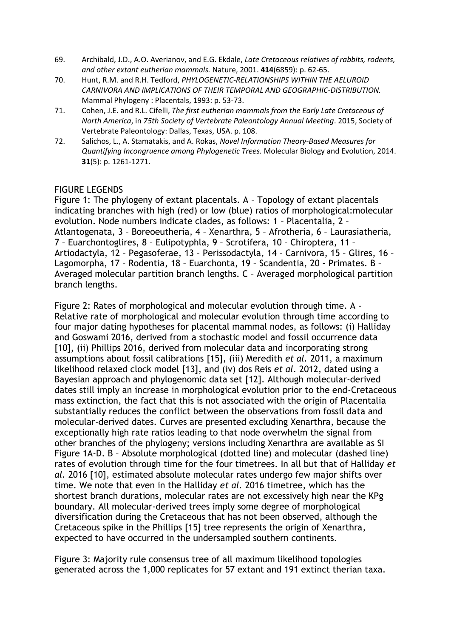- 69. Archibald, J.D., A.O. Averianov, and E.G. Ekdale, *Late Cretaceous relatives of rabbits, rodents, and other extant eutherian mammals.* Nature, 2001. **414**(6859): p. 62-65.
- 70. Hunt, R.M. and R.H. Tedford, *PHYLOGENETIC-RELATIONSHIPS WITHIN THE AELUROID CARNIVORA AND IMPLICATIONS OF THEIR TEMPORAL AND GEOGRAPHIC-DISTRIBUTION.* Mammal Phylogeny : Placentals, 1993: p. 53-73.
- 71. Cohen, J.E. and R.L. Cifelli, *The first eutherian mammals from the Early Late Cretaceous of North America*, in *75th Society of Vertebrate Paleontology Annual Meeting*. 2015, Society of Vertebrate Paleontology: Dallas, Texas, USA. p. 108.
- 72. Salichos, L., A. Stamatakis, and A. Rokas, *Novel Information Theory-Based Measures for Quantifying Incongruence among Phylogenetic Trees.* Molecular Biology and Evolution, 2014. **31**(5): p. 1261-1271.

# FIGURE LEGENDS

Figure 1: The phylogeny of extant placentals. A – Topology of extant placentals indicating branches with high (red) or low (blue) ratios of morphological:molecular evolution. Node numbers indicate clades, as follows: 1 – Placentalia, 2 – Atlantogenata, 3 – Boreoeutheria, 4 – Xenarthra, 5 – Afrotheria, 6 – Laurasiatheria, 7 – Euarchontoglires, 8 – Eulipotyphla, 9 – Scrotifera, 10 – Chiroptera, 11 – Artiodactyla, 12 – Pegasoferae, 13 – Perissodactyla, 14 – Carnivora, 15 – Glires, 16 – Lagomorpha, 17 – Rodentia, 18 – Euarchonta, 19 – Scandentia, 20 - Primates. B – Averaged molecular partition branch lengths. C – Averaged morphological partition branch lengths.

Figure 2: Rates of morphological and molecular evolution through time. A - Relative rate of morphological and molecular evolution through time according to four major dating hypotheses for placental mammal nodes, as follows: (i) Halliday and Goswami 2016, derived from a stochastic model and fossil occurrence data [10], (ii) Phillips 2016, derived from molecular data and incorporating strong assumptions about fossil calibrations [15], (iii) Meredith *et al.* 2011, a maximum likelihood relaxed clock model [13], and (iv) dos Reis *et al.* 2012, dated using a Bayesian approach and phylogenomic data set [12]. Although molecular-derived dates still imply an increase in morphological evolution prior to the end-Cretaceous mass extinction, the fact that this is not associated with the origin of Placentalia substantially reduces the conflict between the observations from fossil data and molecular-derived dates. Curves are presented excluding Xenarthra, because the exceptionally high rate ratios leading to that node overwhelm the signal from other branches of the phylogeny; versions including Xenarthra are available as SI Figure 1A-D. B – Absolute morphological (dotted line) and molecular (dashed line) rates of evolution through time for the four timetrees. In all but that of Halliday *et al.* 2016 [10], estimated absolute molecular rates undergo few major shifts over time. We note that even in the Halliday *et al.* 2016 timetree, which has the shortest branch durations, molecular rates are not excessively high near the KPg boundary. All molecular-derived trees imply some degree of morphological diversification during the Cretaceous that has not been observed, although the Cretaceous spike in the Phillips [15] tree represents the origin of Xenarthra, expected to have occurred in the undersampled southern continents.

Figure 3: Majority rule consensus tree of all maximum likelihood topologies generated across the 1,000 replicates for 57 extant and 191 extinct therian taxa.